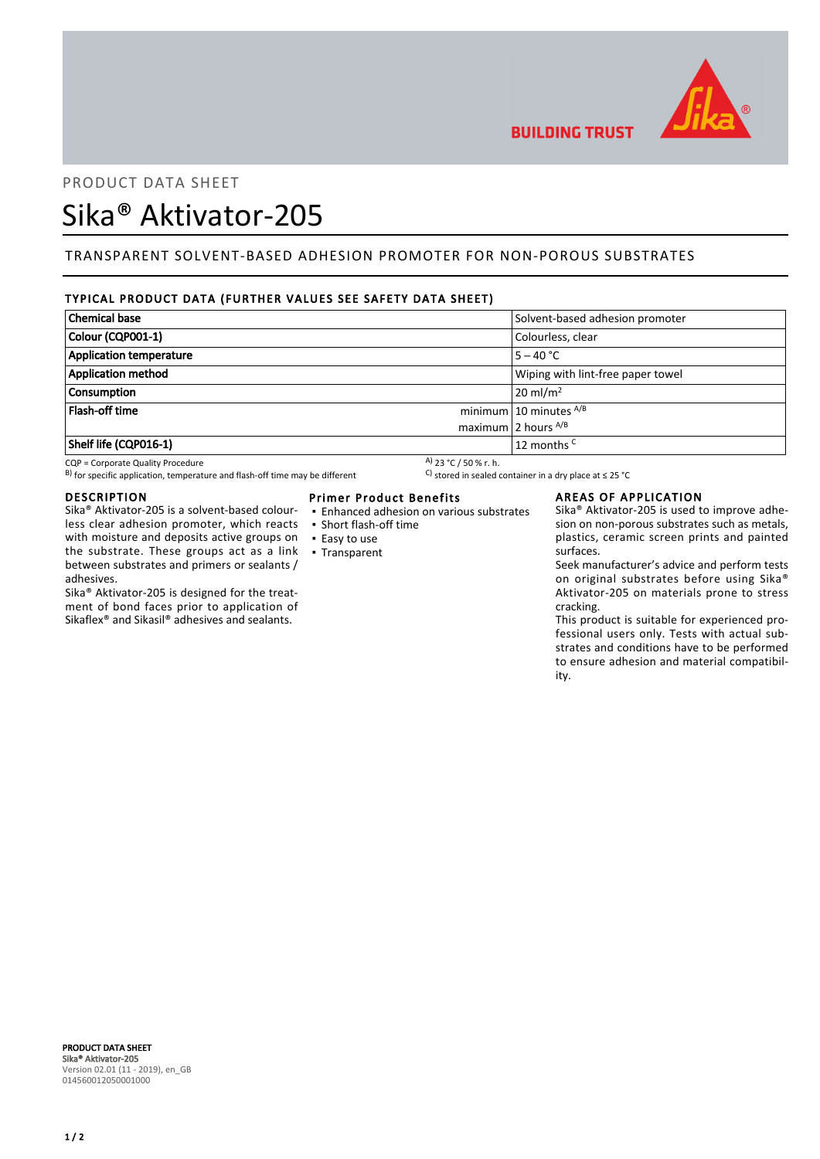

# **BUILDING TRUST**

# PRODUCT DATA SHEET

# Sika® Aktivator-205

## TRANSPARENT SOLVENT-BASED ADHESION PROMOTER FOR NON-POROUS SUBSTRATES

## TYPICAL PRODUCT DATA (FURTHER VALUES SEE SAFETY DATA SHEET)

| Solvent-based adhesion promoter<br>Colourless, clear<br>$5 - 40 °C$<br>Wiping with lint-free paper towel<br>$20$ ml/m <sup>2</sup><br>minimum 10 minutes $^{A/B}$<br>maximum 2 hours $^{A/B}$<br>$\vert$ 12 months <sup>C</sup> |                           |  |
|---------------------------------------------------------------------------------------------------------------------------------------------------------------------------------------------------------------------------------|---------------------------|--|
|                                                                                                                                                                                                                                 | <b>Chemical base</b>      |  |
|                                                                                                                                                                                                                                 | Colour (CQP001-1)         |  |
|                                                                                                                                                                                                                                 | Application temperature   |  |
|                                                                                                                                                                                                                                 | <b>Application method</b> |  |
|                                                                                                                                                                                                                                 | <b>Consumption</b>        |  |
|                                                                                                                                                                                                                                 | <b>Flash-off time</b>     |  |
|                                                                                                                                                                                                                                 |                           |  |
|                                                                                                                                                                                                                                 | Shelf life (CQP016-1)     |  |

CQP = Corporate Quality Procedure<br>
B) for specific application, temperature and flash-off time may be different  $\begin{array}{c} \text{A)}$  23 °C / 50 % r. h.<br>
A) 23 °C / 50 % r. h. B) for specific application, temperature and flash-off time may be different

#### DESCRIPTION

Sika® Aktivator-205 is a solvent-based colourless clear adhesion promoter, which reacts with moisture and deposits active groups on the substrate. These groups act as a link between substrates and primers or sealants / adhesives.

Sika® Aktivator-205 is designed for the treatment of bond faces prior to application of Sikaflex® and Sikasil® adhesives and sealants.

#### Primer Product Benefits

- Enhanced adhesion on various substrates
- Short flash-off time
- Easy to use
- Transparent

### AREAS OF APPLICATION

Sika® Aktivator-205 is used to improve adhesion on non-porous substrates such as metals, plastics, ceramic screen prints and painted surfaces.

Seek manufacturer's advice and perform tests on original substrates before using Sika® Aktivator-205 on materials prone to stress cracking.

This product is suitable for experienced professional users only. Tests with actual substrates and conditions have to be performed to ensure adhesion and material compatibility.

PRODUCT DATA SHEET Sika® Aktivator-205 Version 02.01 (11 - 2019), en\_GB 014560012050001000